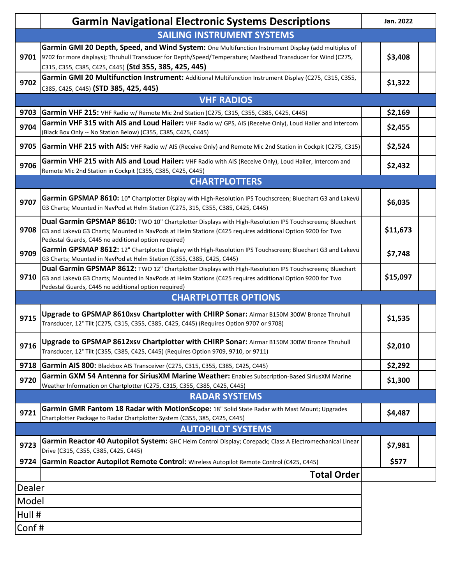|                                   | <b>Garmin Navigational Electronic Systems Descriptions</b>                                                                                                                                                                                                                     | Jan. 2022 |  |  |
|-----------------------------------|--------------------------------------------------------------------------------------------------------------------------------------------------------------------------------------------------------------------------------------------------------------------------------|-----------|--|--|
| <b>SAILING INSTRUMENT SYSTEMS</b> |                                                                                                                                                                                                                                                                                |           |  |  |
| 9701                              | Garmin GMI 20 Depth, Speed, and Wind System: One Multifunction Instrument Display (add multiples of<br>9702 for more displays); Thruhull Transducer for Depth/Speed/Temperature; Masthead Transducer for Wind (C275,<br>C315, C355, C385, C425, C445) (Std 355, 385, 425, 445) | \$3,408   |  |  |
| 9702                              | Garmin GMI 20 Multifunction Instrument: Additional Multifunction Instrument Display (C275, C315, C355,<br>C385, C425, C445) (STD 385, 425, 445)                                                                                                                                | \$1,322   |  |  |
|                                   | <b>VHF RADIOS</b>                                                                                                                                                                                                                                                              |           |  |  |
| 9703                              | Garmin VHF 215: VHF Radio w/ Remote Mic 2nd Station (C275, C315, C355, C385, C425, C445)                                                                                                                                                                                       | \$2,169   |  |  |
| 9704                              | Garmin VHF 315 with AIS and Loud Hailer: VHF Radio w/ GPS, AIS (Receive Only), Loud Hailer and Intercom<br>(Black Box Only -- No Station Below) (C355, C385, C425, C445)                                                                                                       | \$2,455   |  |  |
| 9705                              | Garmin VHF 215 with AIS: VHF Radio w/ AIS (Receive Only) and Remote Mic 2nd Station in Cockpit (C275, C315)                                                                                                                                                                    | \$2,524   |  |  |
| 9706                              | Garmin VHF 215 with AIS and Loud Hailer: VHF Radio with AIS (Receive Only), Loud Hailer, Intercom and<br>Remote Mic 2nd Station in Cockpit (C355, C385, C425, C445)                                                                                                            | \$2,432   |  |  |
|                                   | <b>CHARTPLOTTERS</b>                                                                                                                                                                                                                                                           |           |  |  |
| 9707                              | Garmin GPSMAP 8610: 10" Chartplotter Display with High-Resolution IPS Touchscreen; Bluechart G3 and Lakevü<br>G3 Charts; Mounted in NavPod at Helm Station (C275, 315, C355, C385, C425, C445)                                                                                 | \$6,035   |  |  |
| 9708                              | Dual Garmin GPSMAP 8610: TWO 10" Chartplotter Displays with High-Resolution IPS Touchscreens; Bluechart<br>G3 and Lakevü G3 Charts; Mounted in NavPods at Helm Stations (C425 requires additional Option 9200 for Two<br>Pedestal Guards, C445 no additional option required)  | \$11,673  |  |  |
| 9709                              | Garmin GPSMAP 8612: 12" Chartplotter Display with High-Resolution IPS Touchscreen; Bluechart G3 and Lakevü<br>G3 Charts; Mounted in NavPod at Helm Station (C355, C385, C425, C445)                                                                                            | \$7,748   |  |  |
| 9710                              | Dual Garmin GPSMAP 8612: TWO 12" Chartplotter Displays with High-Resolution IPS Touchscreens; Bluechart<br>G3 and Lakevü G3 Charts; Mounted in NavPods at Helm Stations (C425 requires additional Option 9200 for Two<br>Pedestal Guards, C445 no additional option required)  | \$15,097  |  |  |
|                                   | <b>CHARTPLOTTER OPTIONS</b>                                                                                                                                                                                                                                                    |           |  |  |
| 9715                              | Upgrade to GPSMAP 8610xsv Chartplotter with CHIRP Sonar: Airmar B150M 300W Bronze Thruhull<br>Transducer, 12° Tilt (C275, C315, C355, C385, C425, C445) (Requires Option 9707 or 9708)                                                                                         | \$1,535   |  |  |
|                                   | 9716 Upgrade to GPSMAP 8612xsv Chartplotter with CHIRP Sonar: Airmar B150M 300W Bronze Thruhull<br>Transducer, 12° Tilt (C355, C385, C425, C445) (Requires Option 9709, 9710, or 9711)                                                                                         | \$2,010   |  |  |
| 9718                              | Garmin AIS 800: Blackbox AIS Transceiver (C275, C315, C355, C385, C425, C445)                                                                                                                                                                                                  | \$2,292   |  |  |
| 9720                              | Garmin GXM 54 Antenna for SiriusXM Marine Weather: Enables Subscription-Based SiriusXM Marine<br>Weather Information on Chartplotter (C275, C315, C355, C385, C425, C445)                                                                                                      | \$1,300   |  |  |
|                                   | <b>RADAR SYSTEMS</b>                                                                                                                                                                                                                                                           |           |  |  |
| 9721                              | Garmin GMR Fantom 18 Radar with MotionScope: 18" Solid State Radar with Mast Mount; Upgrades<br>Chartplotter Package to Radar Chartplotter System (C355, 385, C425, C445)                                                                                                      | \$4,487   |  |  |
|                                   | <b>AUTOPILOT SYSTEMS</b>                                                                                                                                                                                                                                                       |           |  |  |
| 9723                              | Garmin Reactor 40 Autopilot System: GHC Helm Control Display; Corepack; Class A Electromechanical Linear<br>Drive (C315, C355, C385, C425, C445)                                                                                                                               | \$7,981   |  |  |
| 9724                              | Garmin Reactor Autopilot Remote Control: Wireless Autopilot Remote Control (C425, C445)                                                                                                                                                                                        | \$577     |  |  |
|                                   | <b>Total Order</b>                                                                                                                                                                                                                                                             |           |  |  |
| Dealer                            |                                                                                                                                                                                                                                                                                |           |  |  |
| Model                             |                                                                                                                                                                                                                                                                                |           |  |  |
| Hull #                            |                                                                                                                                                                                                                                                                                |           |  |  |
| Conf#                             |                                                                                                                                                                                                                                                                                |           |  |  |